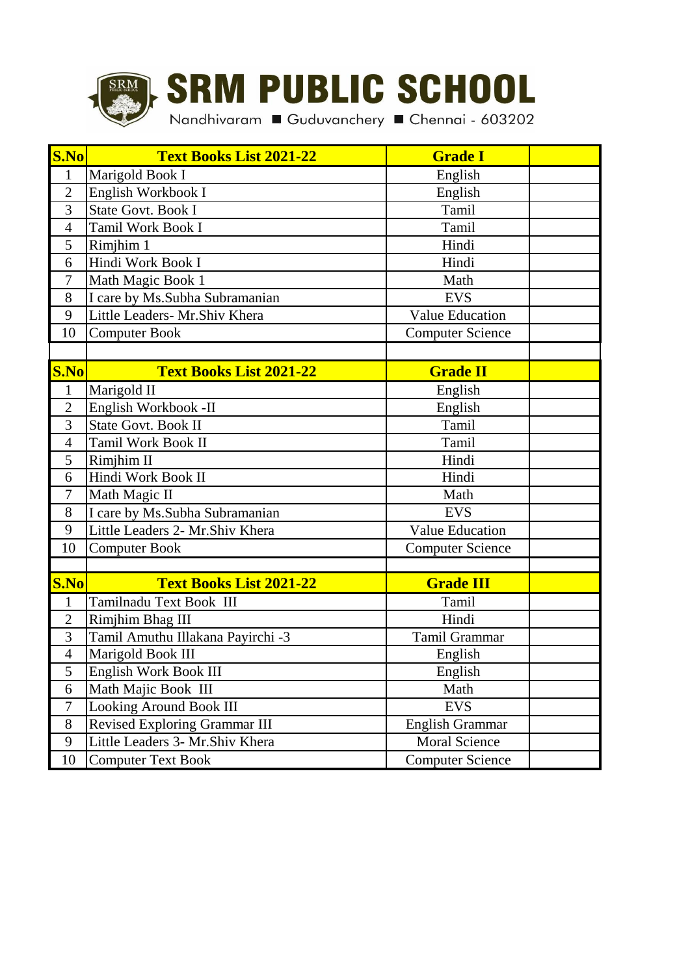

## **SRM PUBLIC SCHOOL**

Nandhivaram Guduvanchery Chennai - 603202

| S.No           | <b>Text Books List 2021-22</b>       | <b>Grade I</b>          |  |
|----------------|--------------------------------------|-------------------------|--|
| $\mathbf{1}$   | Marigold Book I                      | English                 |  |
| $\overline{2}$ | English Workbook I                   | English                 |  |
| 3              | <b>State Govt. Book I</b>            | Tamil                   |  |
| $\overline{4}$ | Tamil Work Book I                    | Tamil                   |  |
| 5              | Rimjhim 1                            | Hindi                   |  |
| 6              | Hindi Work Book I                    | Hindi                   |  |
| $\overline{7}$ | Math Magic Book 1                    | Math                    |  |
| 8              | I care by Ms.Subha Subramanian       | <b>EVS</b>              |  |
| 9              | Little Leaders- Mr.Shiv Khera        | <b>Value Education</b>  |  |
| 10             | <b>Computer Book</b>                 | <b>Computer Science</b> |  |
|                |                                      |                         |  |
| S.No           | <b>Text Books List 2021-22</b>       | <b>Grade II</b>         |  |
| $\mathbf{1}$   | Marigold II                          | English                 |  |
| $\overline{2}$ | English Workbook -II                 | English                 |  |
| 3              | State Govt. Book II                  | Tamil                   |  |
| $\overline{4}$ | <b>Tamil Work Book II</b>            | Tamil                   |  |
| 5              | Rimjhim II                           | Hindi                   |  |
| 6              | Hindi Work Book II                   | Hindi                   |  |
| 7              | Math Magic II                        | Math                    |  |
| 8              | I care by Ms.Subha Subramanian       | <b>EVS</b>              |  |
| 9              | Little Leaders 2- Mr.Shiv Khera      | <b>Value Education</b>  |  |
| 10             | <b>Computer Book</b>                 | <b>Computer Science</b> |  |
|                |                                      |                         |  |
| S.No           | <b>Text Books List 2021-22</b>       | <b>Grade III</b>        |  |
| $\mathbf{1}$   | Tamilnadu Text Book III              | Tamil                   |  |
| $\overline{2}$ | Rimjhim Bhag III                     | Hindi                   |  |
| 3              | Tamil Amuthu Illakana Payirchi -3    | Tamil Grammar           |  |
| $\overline{4}$ | Marigold Book III                    | English                 |  |
| 5              | English Work Book III                | English                 |  |
| 6              | Math Majic Book III                  | Math                    |  |
| $\tau$         | <b>Looking Around Book III</b>       | <b>EVS</b>              |  |
| 8              | <b>Revised Exploring Grammar III</b> | English Grammar         |  |
| 9              | Little Leaders 3- Mr.Shiv Khera      | Moral Science           |  |
| 10             | <b>Computer Text Book</b>            | <b>Computer Science</b> |  |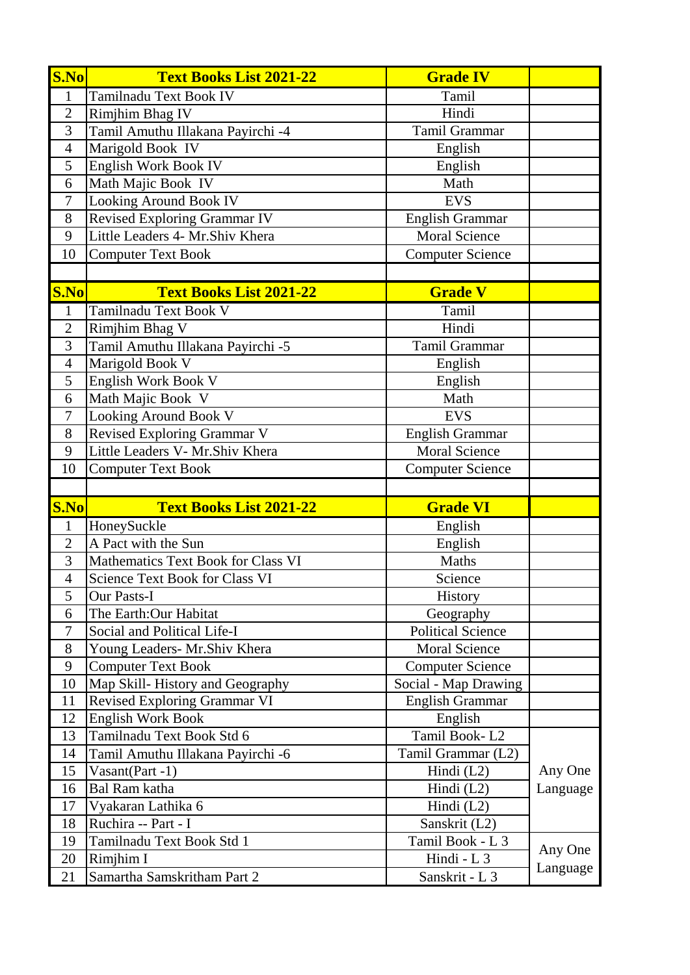| S.No           | <b>Text Books List 2021-22</b>     | <b>Grade IV</b>          |          |
|----------------|------------------------------------|--------------------------|----------|
| $\mathbf{1}$   | Tamilnadu Text Book IV             | Tamil                    |          |
| $\overline{2}$ | Rimjhim Bhag IV                    | Hindi                    |          |
| 3              | Tamil Amuthu Illakana Payirchi -4  | Tamil Grammar            |          |
| $\overline{4}$ | Marigold Book IV                   | English                  |          |
| 5              | English Work Book IV               | English                  |          |
| 6              | Math Majic Book IV                 | Math                     |          |
| $\overline{7}$ | Looking Around Book IV             | <b>EVS</b>               |          |
| 8              | Revised Exploring Grammar IV       | <b>English Grammar</b>   |          |
| 9              | Little Leaders 4- Mr.Shiv Khera    | <b>Moral Science</b>     |          |
| 10             | <b>Computer Text Book</b>          | <b>Computer Science</b>  |          |
|                |                                    |                          |          |
| S.No           | <b>Text Books List 2021-22</b>     | <b>Grade V</b>           |          |
| $\mathbf{1}$   | Tamilnadu Text Book V              | Tamil                    |          |
| $\overline{2}$ | Rimjhim Bhag V                     | Hindi                    |          |
| 3              | Tamil Amuthu Illakana Payirchi -5  | <b>Tamil Grammar</b>     |          |
| $\overline{4}$ | Marigold Book V                    | English                  |          |
| 5              | English Work Book V                | English                  |          |
| 6              | Math Majic Book V                  | Math                     |          |
| $\tau$         | Looking Around Book V              | <b>EVS</b>               |          |
| 8              | Revised Exploring Grammar V        | English Grammar          |          |
| 9              | Little Leaders V- Mr.Shiv Khera    | <b>Moral Science</b>     |          |
| 10             | <b>Computer Text Book</b>          | <b>Computer Science</b>  |          |
|                |                                    |                          |          |
| S.No           | <b>Text Books List 2021-22</b>     | <b>Grade VI</b>          |          |
| $\mathbf{1}$   | HoneySuckle                        | English                  |          |
| $\overline{2}$ | A Pact with the Sun                | English                  |          |
| $\overline{3}$ | Mathematics Text Book for Class VI | Maths                    |          |
| $\overline{4}$ | Science Text Book for Class VI     | Science                  |          |
| 5              | Our Pasts-I                        | <b>History</b>           |          |
| 6              | The Earth: Our Habitat             | Geography                |          |
| $\tau$         | Social and Political Life-I        | <b>Political Science</b> |          |
| 8              | Young Leaders- Mr.Shiv Khera       | <b>Moral Science</b>     |          |
| 9              | <b>Computer Text Book</b>          | <b>Computer Science</b>  |          |
| 10             | Map Skill-History and Geography    | Social - Map Drawing     |          |
| 11             | Revised Exploring Grammar VI       | <b>English Grammar</b>   |          |
| 12             | <b>English Work Book</b>           | English                  |          |
| 13             | Tamilnadu Text Book Std 6          | Tamil Book-L2            |          |
| 14             | Tamil Amuthu Illakana Payirchi -6  | Tamil Grammar (L2)       |          |
| 15             | Vasant(Part -1)                    | Hindi $(L2)$             | Any One  |
| 16             | <b>Bal Ram katha</b>               | Hindi $(L2)$             | Language |
| 17             | Vyakaran Lathika 6                 | Hindi $(L2)$             |          |
| 18             | Ruchira -- Part - I                | Sanskrit (L2)            |          |
| 19             | Tamilnadu Text Book Std 1          | Tamil Book - L 3         | Any One  |
| 20             | Rimjhim I                          | Hindi - $L_3$            | Language |
| 21             | Samartha Samskritham Part 2        | Sanskrit - L 3           |          |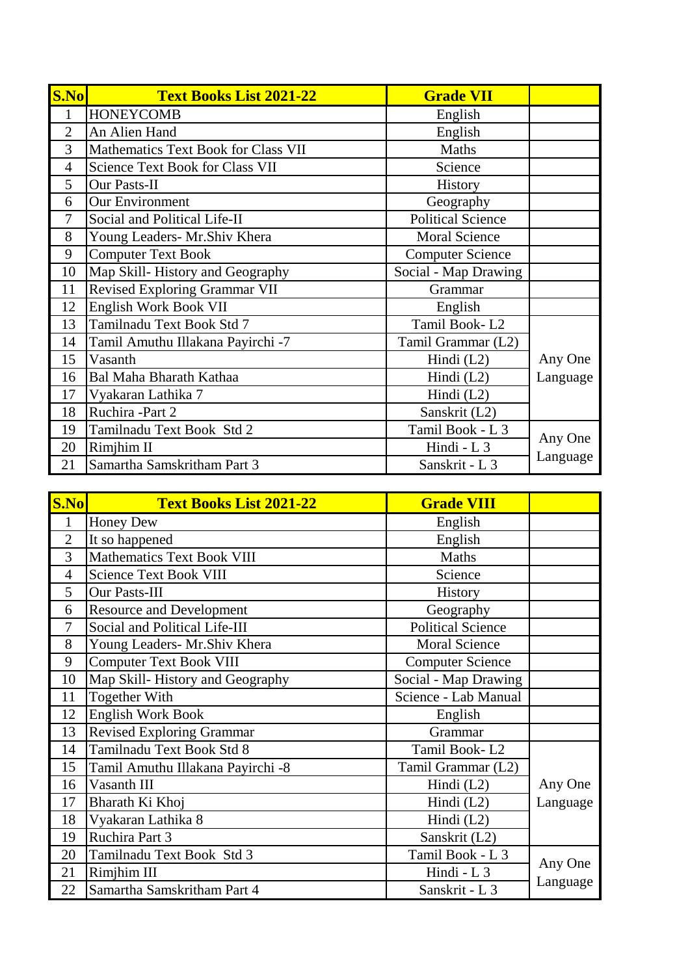| S.No           | <b>Text Books List 2021-22</b>      | <b>Grade VII</b>         |          |
|----------------|-------------------------------------|--------------------------|----------|
| $\mathbf{1}$   | <b>HONEYCOMB</b>                    | English                  |          |
| $\overline{2}$ | An Alien Hand                       | English                  |          |
| 3              | Mathematics Text Book for Class VII | Maths                    |          |
| $\overline{4}$ | Science Text Book for Class VII     | Science                  |          |
| 5              | Our Pasts-II                        | <b>History</b>           |          |
| 6              | <b>Our Environment</b>              | Geography                |          |
| $\tau$         | Social and Political Life-II        | <b>Political Science</b> |          |
| 8              | Young Leaders- Mr.Shiv Khera        | <b>Moral Science</b>     |          |
| 9              | <b>Computer Text Book</b>           | <b>Computer Science</b>  |          |
| 10             | Map Skill-History and Geography     | Social - Map Drawing     |          |
| 11             | Revised Exploring Grammar VII       | Grammar                  |          |
| 12             | English Work Book VII               | English                  |          |
| 13             | Tamilnadu Text Book Std 7           | Tamil Book-L2            |          |
| 14             | Tamil Amuthu Illakana Payirchi -7   | Tamil Grammar (L2)       |          |
| 15             | Vasanth                             | Hindi $(L2)$             | Any One  |
| 16             | Bal Maha Bharath Kathaa             | Hindi (L2)               | Language |
| 17             | Vyakaran Lathika 7                  | Hindi $(L2)$             |          |
| 18             | Ruchira -Part 2                     | Sanskrit (L2)            |          |
| 19             | Tamilnadu Text Book Std 2           | Tamil Book - L 3         | Any One  |
| 20             | Rimjhim II                          | Hindi - L 3              |          |
| 21             | Samartha Samskritham Part 3         | Sanskrit - L 3           | Language |

| S.No           | <b>Text Books List 2021-22</b>    | <b>Grade VIII</b>        |          |
|----------------|-----------------------------------|--------------------------|----------|
| $\mathbf{1}$   | Honey Dew                         | English                  |          |
| $\overline{2}$ | It so happened                    | English                  |          |
| 3              | <b>Mathematics Text Book VIII</b> | Maths                    |          |
| $\overline{4}$ | <b>Science Text Book VIII</b>     | Science                  |          |
| 5              | Our Pasts-III                     | <b>History</b>           |          |
| 6              | <b>Resource and Development</b>   | Geography                |          |
| $\tau$         | Social and Political Life-III     | <b>Political Science</b> |          |
| 8              | Young Leaders- Mr.Shiv Khera      | <b>Moral Science</b>     |          |
| 9              | <b>Computer Text Book VIII</b>    | <b>Computer Science</b>  |          |
| 10             | Map Skill-History and Geography   | Social - Map Drawing     |          |
| 11             | <b>Together With</b>              | Science - Lab Manual     |          |
| 12             | <b>English Work Book</b>          | English                  |          |
| 13             | <b>Revised Exploring Grammar</b>  | Grammar                  |          |
| 14             | Tamilnadu Text Book Std 8         | Tamil Book-L2            |          |
| 15             | Tamil Amuthu Illakana Payirchi -8 | Tamil Grammar (L2)       |          |
| 16             | Vasanth III                       | Hindi $(L2)$             | Any One  |
| 17             | Bharath Ki Khoj                   | Hindi (L2)               | Language |
| 18             | Vyakaran Lathika 8                | Hindi $(L2)$             |          |
| 19             | Ruchira Part 3                    | Sanskrit (L2)            |          |
| 20             | Tamilnadu Text Book Std 3         | Tamil Book - L 3         |          |
| 21             | Rimjhim III                       | Hindi - L 3              | Any One  |
| 22             | Samartha Samskritham Part 4       | Sanskrit - L 3           | Language |